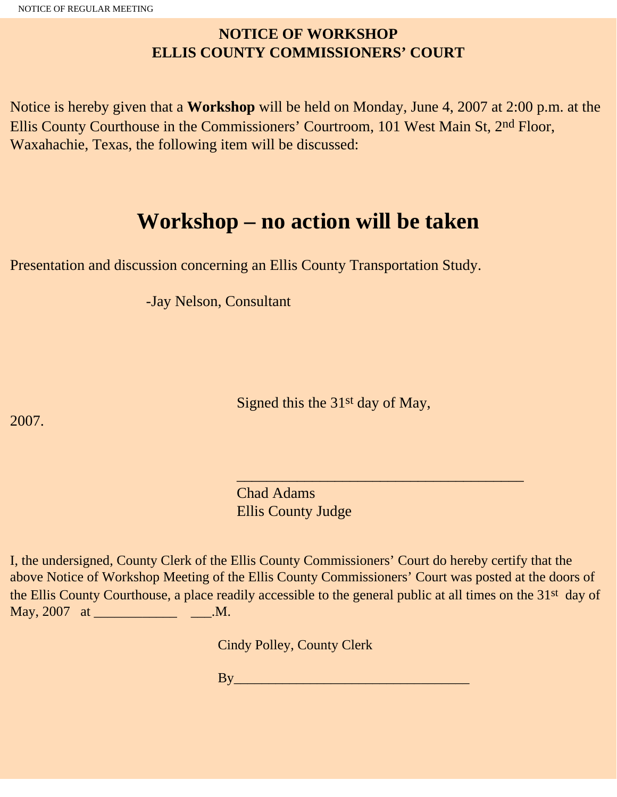## **NOTICE OF WORKSHOP ELLIS COUNTY COMMISSIONERS' COURT**

Notice is hereby given that a **Workshop** will be held on Monday, June 4, 2007 at 2:00 p.m. at the Ellis County Courthouse in the Commissioners' Courtroom, 101 West Main St, 2nd Floor, Waxahachie, Texas, the following item will be discussed:

## **Workshop – no action will be taken**

Presentation and discussion concerning an Ellis County Transportation Study.

-Jay Nelson, Consultant

Signed this the 31st day of May,

2007.

 Chad Adams Ellis County Judge

 $\frac{1}{\sqrt{2}}$  , and the set of the set of the set of the set of the set of the set of the set of the set of the set of the set of the set of the set of the set of the set of the set of the set of the set of the set of the

I, the undersigned, County Clerk of the Ellis County Commissioners' Court do hereby certify that the above Notice of Workshop Meeting of the Ellis County Commissioners' Court was posted at the doors of the Ellis County Courthouse, a place readily accessible to the general public at all times on the 31st day of May, 2007 at \_\_\_\_\_\_\_\_\_\_\_\_\_\_\_\_\_\_\_\_\_\_\_\_\_\_\_\_\_\_\_\_.M.

Cindy Polley, County Clerk

By\_\_\_\_\_\_\_\_\_\_\_\_\_\_\_\_\_\_\_\_\_\_\_\_\_\_\_\_\_\_\_\_\_\_